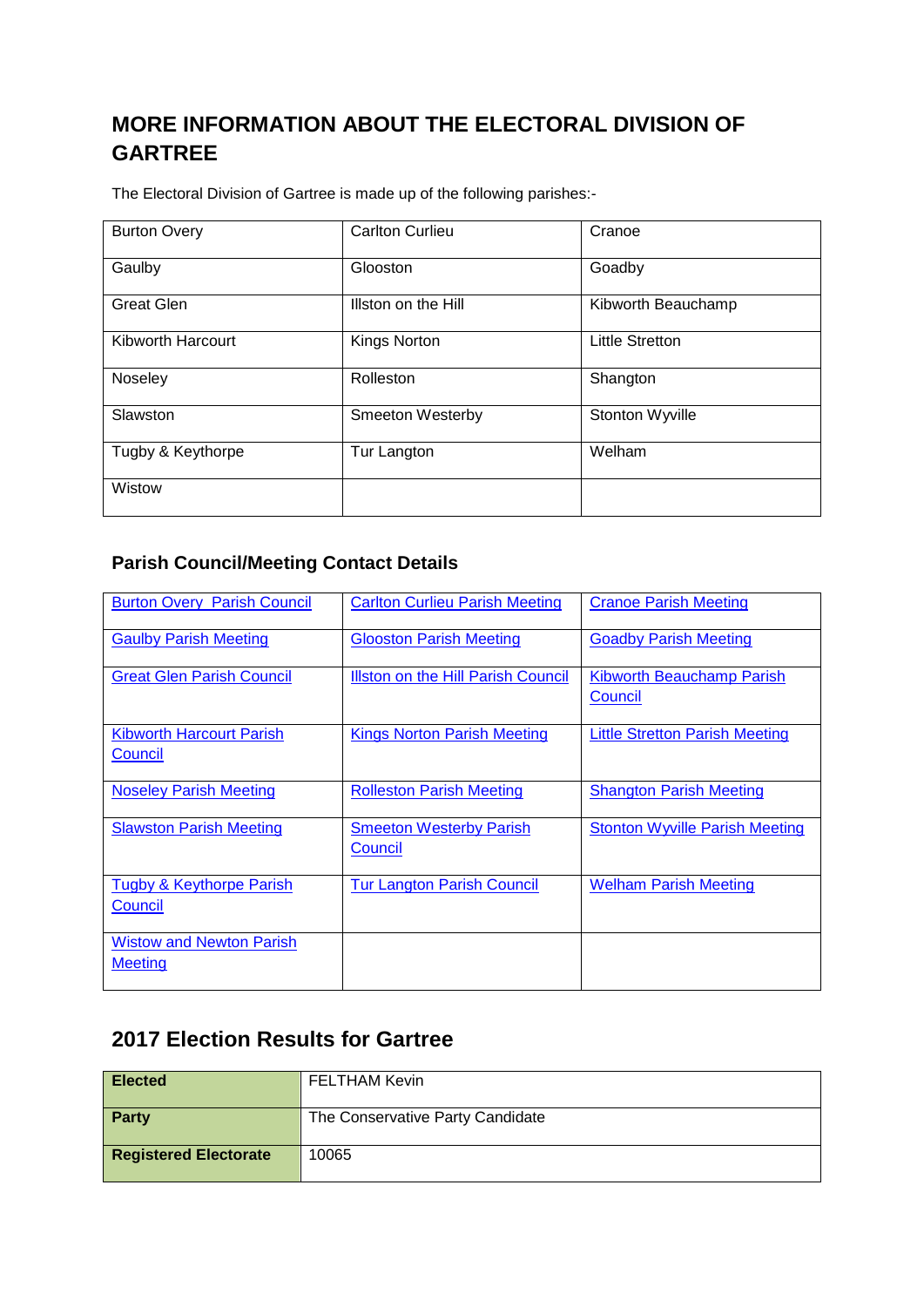## **MORE INFORMATION ABOUT THE ELECTORAL DIVISION OF GARTREE**

The Electoral Division of Gartree is made up of the following parishes:-

| <b>Burton Overy</b> | <b>Carlton Curlieu</b> | Cranoe                 |  |
|---------------------|------------------------|------------------------|--|
| Gaulby              | Glooston               | Goadby                 |  |
| <b>Great Glen</b>   | Illston on the Hill    | Kibworth Beauchamp     |  |
| Kibworth Harcourt   | Kings Norton           | <b>Little Stretton</b> |  |
| Noseley             | Rolleston              | Shangton               |  |
| Slawston            | Smeeton Westerby       | Stonton Wyville        |  |
| Tugby & Keythorpe   | Tur Langton            | Welham                 |  |
| Wistow              |                        |                        |  |

## **Parish Council/Meeting Contact Details**

| <b>Burton Overy Parish Council</b>                | <b>Carlton Curlieu Parish Meeting</b>     | <b>Crance Parish Meeting</b>                |  |
|---------------------------------------------------|-------------------------------------------|---------------------------------------------|--|
| <b>Gaulby Parish Meeting</b>                      | <b>Glooston Parish Meeting</b>            | <b>Goadby Parish Meeting</b>                |  |
| <b>Great Glen Parish Council</b>                  | <b>Illston on the Hill Parish Council</b> | <b>Kibworth Beauchamp Parish</b><br>Council |  |
| <b>Kibworth Harcourt Parish</b><br>Council        | <b>Kings Norton Parish Meeting</b>        | <b>Little Stretton Parish Meeting</b>       |  |
| <b>Noseley Parish Meeting</b>                     | <b>Rolleston Parish Meeting</b>           | <b>Shangton Parish Meeting</b>              |  |
| <b>Slawston Parish Meeting</b>                    | <b>Smeeton Westerby Parish</b><br>Council | <b>Stonton Wyville Parish Meeting</b>       |  |
| <b>Tugby &amp; Keythorpe Parish</b><br>Council    | <b>Tur Langton Parish Council</b>         | <b>Welham Parish Meeting</b>                |  |
| <b>Wistow and Newton Parish</b><br><b>Meeting</b> |                                           |                                             |  |

## **2017 Election Results for Gartree**

| <b>Elected</b>               | <b>FELTHAM Kevin</b>             |
|------------------------------|----------------------------------|
| Party                        | The Conservative Party Candidate |
| <b>Registered Electorate</b> | 10065                            |